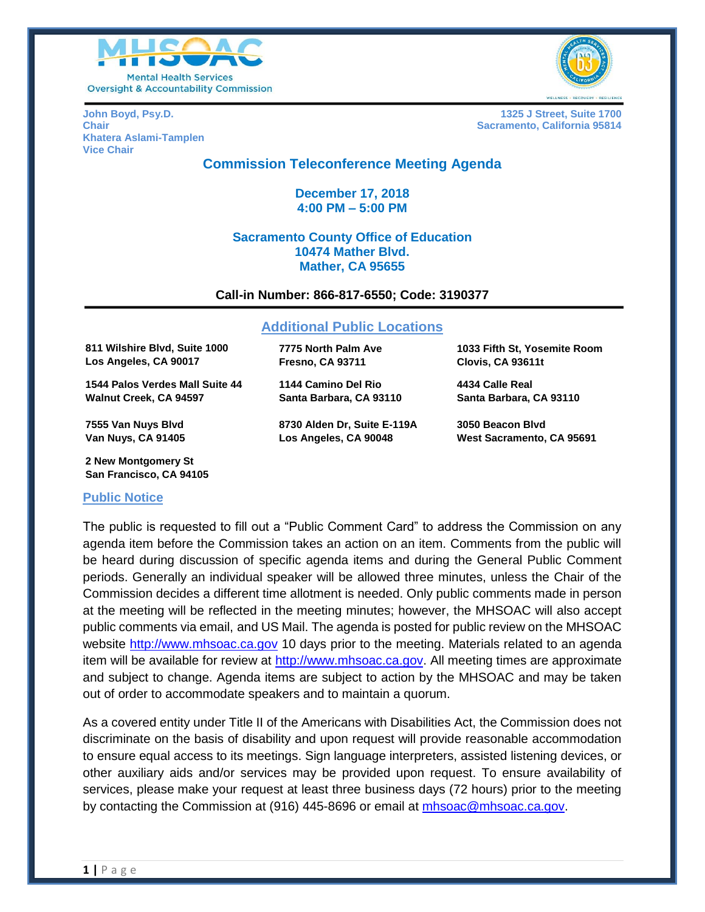



**Khatera Aslami-Tamplen Vice Chair**

**John Boyd, Psy.D. 1325 J Street, Suite 1700 Chair Sacramento, California 95814 Chair** Sacramento, California 95814

# **Commission Teleconference Meeting Agenda**

**December 17, 2018 4:00 PM – 5:00 PM**

# **Sacramento County Office of Education 10474 Mather Blvd. Mather, CA 95655**

#### **Call-in Number: 866-817-6550; Code: 3190377**

#### **Additional Public Locations**

**811 Wilshire Blvd, Suite 1000 Los Angeles, CA 90017**

**1544 Palos Verdes Mall Suite 44 Walnut Creek, CA 94597**

**7555 Van Nuys Blvd Van Nuys, CA 91405**

**2 New Montgomery St San Francisco, CA 94105**

#### **Public Notice**

**7775 North Palm Ave Fresno, CA 93711**

**1144 Camino Del Rio Santa Barbara, CA 93110**

**8730 Alden Dr, Suite E-119A Los Angeles, CA 90048**

**1033 Fifth St, Yosemite Room Clovis, CA 93611t**

**4434 Calle Real Santa Barbara, CA 93110**

**3050 Beacon Blvd West Sacramento, CA 95691**

The public is requested to fill out a "Public Comment Card" to address the Commission on any agenda item before the Commission takes an action on an item. Comments from the public will be heard during discussion of specific agenda items and during the General Public Comment periods. Generally an individual speaker will be allowed three minutes, unless the Chair of the Commission decides a different time allotment is needed. Only public comments made in person at the meeting will be reflected in the meeting minutes; however, the MHSOAC will also accept public comments via email, and US Mail. The agenda is posted for public review on the MHSOAC website [http://www.mhsoac.ca.gov](http://www.mhsoac.ca.gov/) 10 days prior to the meeting. Materials related to an agenda item will be available for review at [http://www.mhsoac.ca.gov.](http://www.mhsoac.ca.gov/) All meeting times are approximate and subject to change. Agenda items are subject to action by the MHSOAC and may be taken out of order to accommodate speakers and to maintain a quorum.

As a covered entity under Title II of the Americans with Disabilities Act, the Commission does not discriminate on the basis of disability and upon request will provide reasonable accommodation to ensure equal access to its meetings. Sign language interpreters, assisted listening devices, or other auxiliary aids and/or services may be provided upon request. To ensure availability of services, please make your request at least three business days (72 hours) prior to the meeting by contacting the Commission at (916) 445-8696 or email at [mhsoac@mhsoac.ca.gov.](mailto:mhsoac@mhsoac.ca.gov)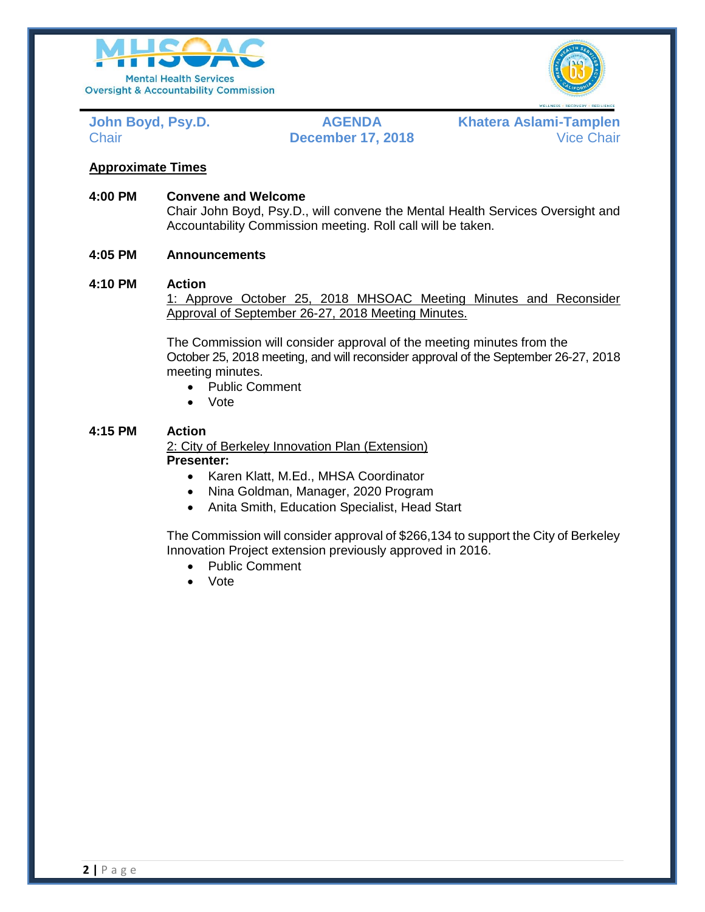



**John Boyd, Psy.D. AGENDA Khatera Aslami-Tamplen** Chair **December 17, 2018** Vice Chair

# **Approximate Times**

**4:00 PM Convene and Welcome**

Chair John Boyd, Psy.D., will convene the Mental Health Services Oversight and Accountability Commission meeting. Roll call will be taken.

# **4:05 PM Announcements**

#### **4:10 PM Action**

1: Approve October 25, 2018 MHSOAC Meeting Minutes and Reconsider Approval of September 26-27, 2018 Meeting Minutes.

The Commission will consider approval of the meeting minutes from the October 25, 2018 meeting, and will reconsider approval of the September 26-27, 2018 meeting minutes.

- Public Comment
- Vote

# **4:15 PM Action**

2: City of Berkeley Innovation Plan (Extension) **Presenter:**

- Karen Klatt, M.Ed., MHSA Coordinator
- Nina Goldman, Manager, 2020 Program
- Anita Smith, Education Specialist, Head Start

The Commission will consider approval of \$266,134 to support the City of Berkeley Innovation Project extension previously approved in 2016.

- Public Comment
- Vote